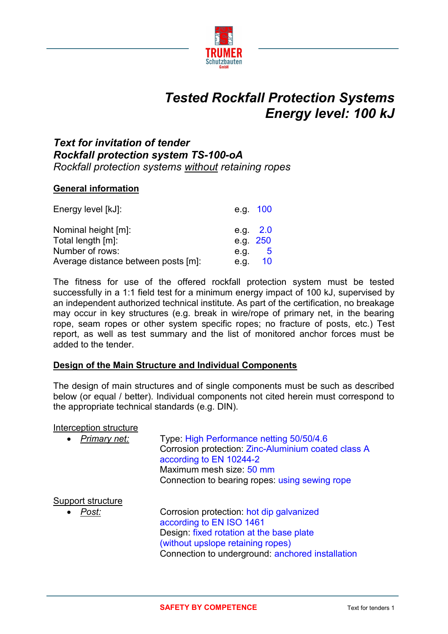

# *Tested Rockfall Protection Systems Energy level: 100 kJ*

## *Text for invitation of tender Rockfall protection system TS-100-oA Rockfall protection systems without retaining ropes*

#### **General information**

| Energy level [kJ]:                  |      | e.g. 100   |
|-------------------------------------|------|------------|
| Nominal height [m]:                 |      | e.g. $2.0$ |
| Total length [m]:                   |      | e.g. 250   |
| Number of rows:                     | e.g. | - 5        |
| Average distance between posts [m]: | e.g. | 10         |

The fitness for use of the offered rockfall protection system must be tested successfully in a 1:1 field test for a minimum energy impact of 100 kJ, supervised by an independent authorized technical institute. As part of the certification, no breakage may occur in key structures (e.g. break in wire/rope of primary net, in the bearing rope, seam ropes or other system specific ropes; no fracture of posts, etc.) Test report, as well as test summary and the list of monitored anchor forces must be added to the tender.

#### **Design of the Main Structure and Individual Components**

The design of main structures and of single components must be such as described below (or equal / better). Individual components not cited herein must correspond to the appropriate technical standards (e.g. DIN).

#### Interception structure

| Primary net:<br>$\bullet$ | Type: High Performance netting 50/50/4.6<br>Corrosion protection: Zinc-Aluminium coated class A<br>according to EN 10244-2<br>Maximum mesh size: 50 mm<br>Connection to bearing ropes: using sewing rope |
|---------------------------|----------------------------------------------------------------------------------------------------------------------------------------------------------------------------------------------------------|
| <u>Support structure</u>  |                                                                                                                                                                                                          |
| Post:<br>$\bullet$        | Corrosion protection: hot dip galvanized<br>according to EN ISO 1461                                                                                                                                     |
|                           | Design: fixed rotation at the base plate                                                                                                                                                                 |
|                           | (without upslope retaining ropes)                                                                                                                                                                        |
|                           | Connection to underground: anchored installation                                                                                                                                                         |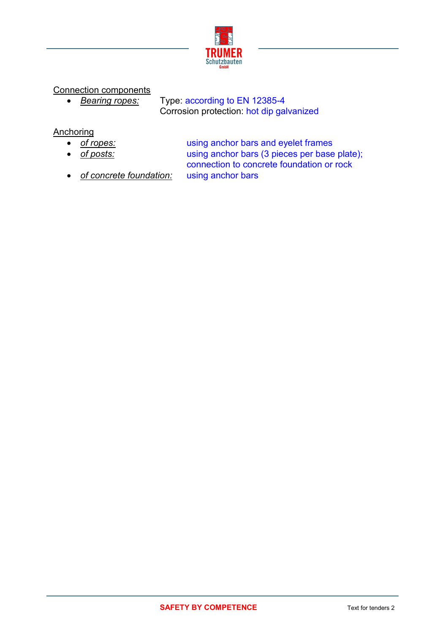

## Connection components

 *Bearing ropes:* Type: according to EN 12385-4 Corrosion protection: hot dip galvanized

## **Anchoring**

- 
- 

 *of ropes:* using anchor bars and eyelet frames *of posts:* using anchor bars (3 pieces per base plate); connection to concrete foundation or rock

*of concrete foundation:* using anchor bars